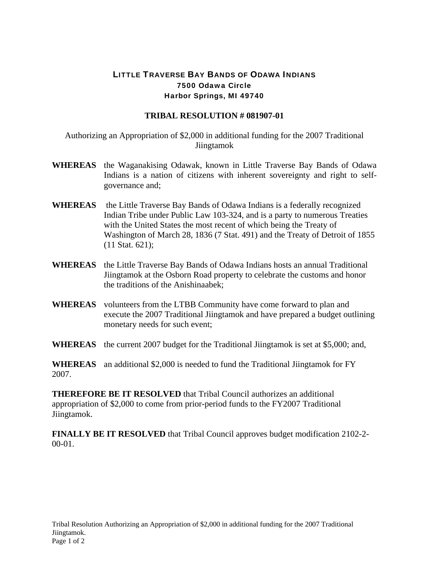## LITTLE TRAVERSE BAY BANDS OF ODAWA INDIANS 7500 Odawa Circle Harbor Springs, MI 49740

## **TRIBAL RESOLUTION # 081907-01**

Authorizing an Appropriation of \$2,000 in additional funding for the 2007 Traditional Jiingtamok

- **WHEREAS** the Waganakising Odawak, known in Little Traverse Bay Bands of Odawa Indians is a nation of citizens with inherent sovereignty and right to selfgovernance and;
- **WHEREAS** the Little Traverse Bay Bands of Odawa Indians is a federally recognized Indian Tribe under Public Law 103-324, and is a party to numerous Treaties with the United States the most recent of which being the Treaty of Washington of March 28, 1836 (7 Stat. 491) and the Treaty of Detroit of 1855 (11 Stat. 621);
- **WHEREAS** the Little Traverse Bay Bands of Odawa Indians hosts an annual Traditional Jiingtamok at the Osborn Road property to celebrate the customs and honor the traditions of the Anishinaabek;
- **WHEREAS** volunteers from the LTBB Community have come forward to plan and execute the 2007 Traditional Jiingtamok and have prepared a budget outlining monetary needs for such event;
- **WHEREAS** the current 2007 budget for the Traditional Jiingtamok is set at \$5,000; and,

**WHEREAS** an additional \$2,000 is needed to fund the Traditional Jiingtamok for FY 2007.

**THEREFORE BE IT RESOLVED** that Tribal Council authorizes an additional appropriation of \$2,000 to come from prior-period funds to the FY2007 Traditional Jiingtamok.

**FINALLY BE IT RESOLVED** that Tribal Council approves budget modification 2102-2-  $00-01$ .